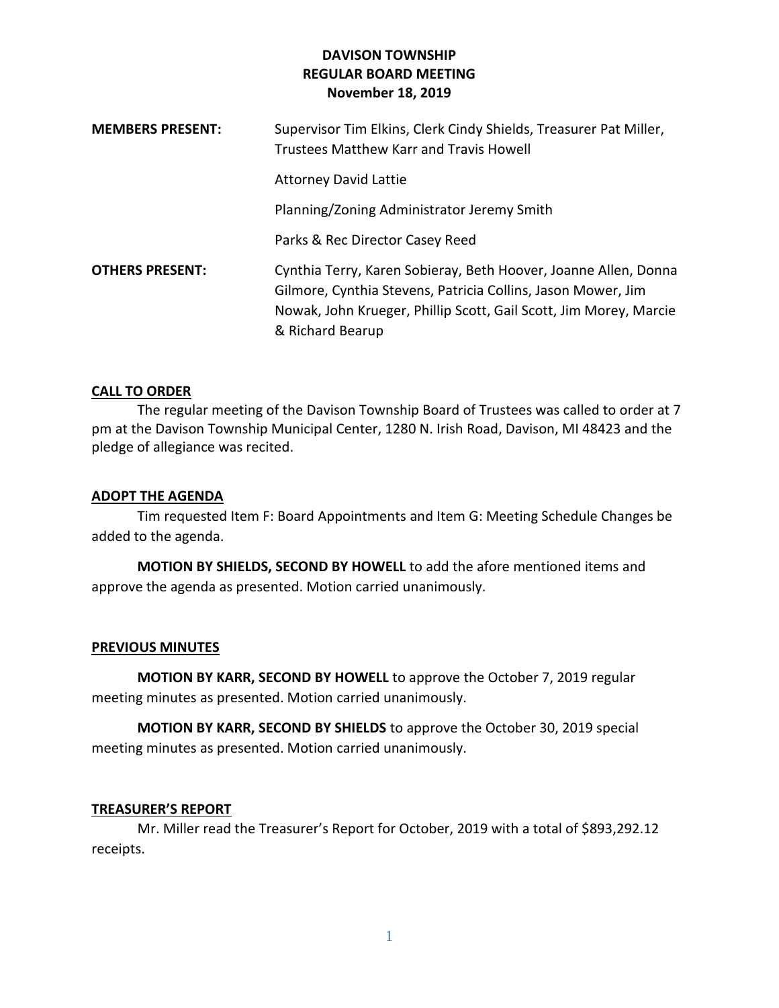| <b>MEMBERS PRESENT:</b> | Supervisor Tim Elkins, Clerk Cindy Shields, Treasurer Pat Miller,<br>Trustees Matthew Karr and Travis Howell                                                                                                             |
|-------------------------|--------------------------------------------------------------------------------------------------------------------------------------------------------------------------------------------------------------------------|
|                         | <b>Attorney David Lattie</b>                                                                                                                                                                                             |
|                         | Planning/Zoning Administrator Jeremy Smith                                                                                                                                                                               |
|                         | Parks & Rec Director Casey Reed                                                                                                                                                                                          |
| <b>OTHERS PRESENT:</b>  | Cynthia Terry, Karen Sobieray, Beth Hoover, Joanne Allen, Donna<br>Gilmore, Cynthia Stevens, Patricia Collins, Jason Mower, Jim<br>Nowak, John Krueger, Phillip Scott, Gail Scott, Jim Morey, Marcie<br>& Richard Bearup |

## **CALL TO ORDER**

The regular meeting of the Davison Township Board of Trustees was called to order at 7 pm at the Davison Township Municipal Center, 1280 N. Irish Road, Davison, MI 48423 and the pledge of allegiance was recited.

### **ADOPT THE AGENDA**

Tim requested Item F: Board Appointments and Item G: Meeting Schedule Changes be added to the agenda.

**MOTION BY SHIELDS, SECOND BY HOWELL** to add the afore mentioned items and approve the agenda as presented. Motion carried unanimously.

## **PREVIOUS MINUTES**

**MOTION BY KARR, SECOND BY HOWELL** to approve the October 7, 2019 regular meeting minutes as presented. Motion carried unanimously.

**MOTION BY KARR, SECOND BY SHIELDS** to approve the October 30, 2019 special meeting minutes as presented. Motion carried unanimously.

#### **TREASURER'S REPORT**

Mr. Miller read the Treasurer's Report for October, 2019 with a total of \$893,292.12 receipts.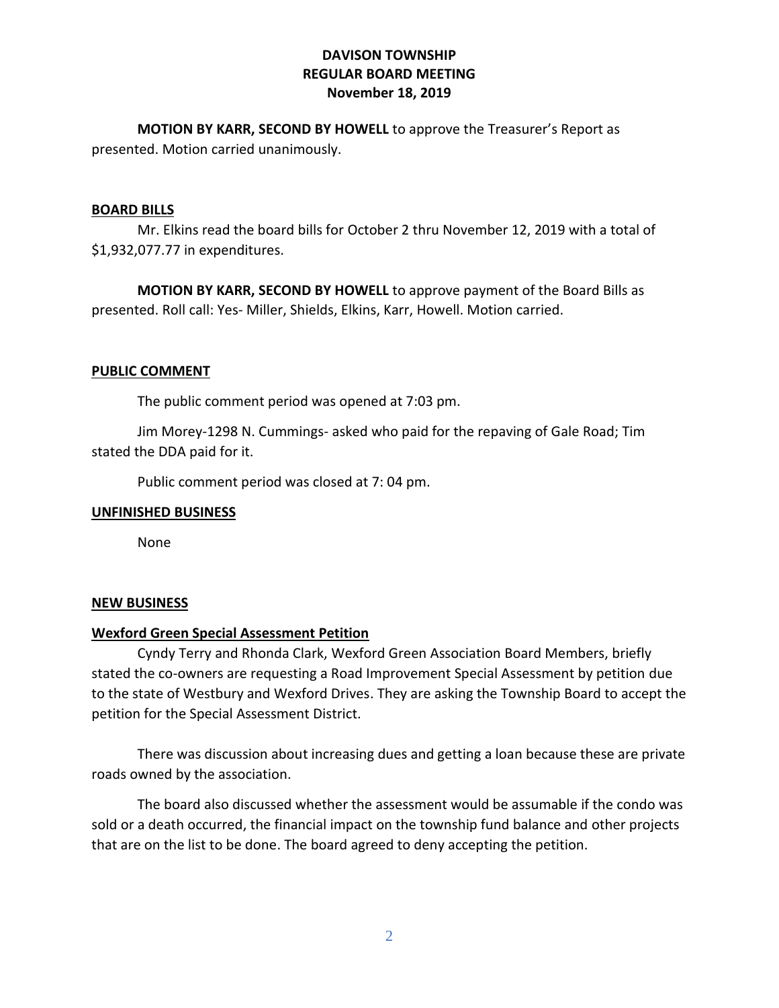**MOTION BY KARR, SECOND BY HOWELL** to approve the Treasurer's Report as presented. Motion carried unanimously.

#### **BOARD BILLS**

Mr. Elkins read the board bills for October 2 thru November 12, 2019 with a total of \$1,932,077.77 in expenditures.

**MOTION BY KARR, SECOND BY HOWELL** to approve payment of the Board Bills as presented. Roll call: Yes- Miller, Shields, Elkins, Karr, Howell. Motion carried.

### **PUBLIC COMMENT**

The public comment period was opened at 7:03 pm.

Jim Morey-1298 N. Cummings- asked who paid for the repaving of Gale Road; Tim stated the DDA paid for it.

Public comment period was closed at 7: 04 pm.

#### **UNFINISHED BUSINESS**

None

#### **NEW BUSINESS**

## **Wexford Green Special Assessment Petition**

Cyndy Terry and Rhonda Clark, Wexford Green Association Board Members, briefly stated the co-owners are requesting a Road Improvement Special Assessment by petition due to the state of Westbury and Wexford Drives. They are asking the Township Board to accept the petition for the Special Assessment District.

There was discussion about increasing dues and getting a loan because these are private roads owned by the association.

The board also discussed whether the assessment would be assumable if the condo was sold or a death occurred, the financial impact on the township fund balance and other projects that are on the list to be done. The board agreed to deny accepting the petition.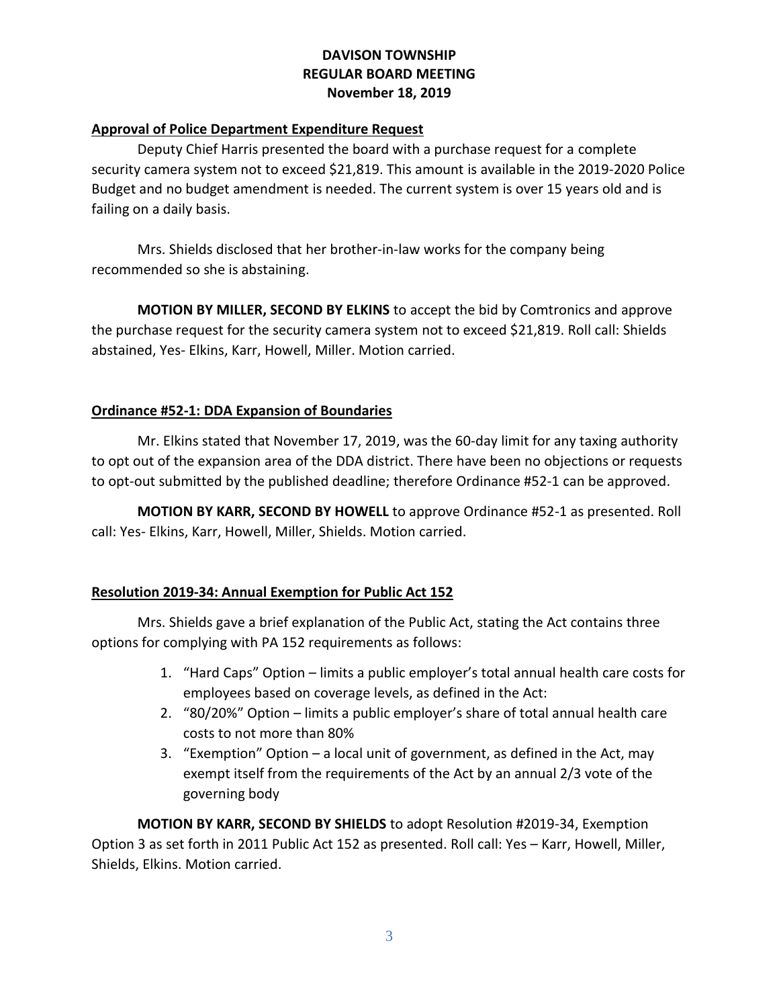## **Approval of Police Department Expenditure Request**

Deputy Chief Harris presented the board with a purchase request for a complete security camera system not to exceed \$21,819. This amount is available in the 2019-2020 Police Budget and no budget amendment is needed. The current system is over 15 years old and is failing on a daily basis.

Mrs. Shields disclosed that her brother-in-law works for the company being recommended so she is abstaining.

**MOTION BY MILLER, SECOND BY ELKINS** to accept the bid by Comtronics and approve the purchase request for the security camera system not to exceed \$21,819. Roll call: Shields abstained, Yes- Elkins, Karr, Howell, Miller. Motion carried.

### **Ordinance #52-1: DDA Expansion of Boundaries**

Mr. Elkins stated that November 17, 2019, was the 60-day limit for any taxing authority to opt out of the expansion area of the DDA district. There have been no objections or requests to opt-out submitted by the published deadline; therefore Ordinance #52-1 can be approved.

**MOTION BY KARR, SECOND BY HOWELL** to approve Ordinance #52-1 as presented. Roll call: Yes- Elkins, Karr, Howell, Miller, Shields. Motion carried.

## **Resolution 2019-34: Annual Exemption for Public Act 152**

Mrs. Shields gave a brief explanation of the Public Act, stating the Act contains three options for complying with PA 152 requirements as follows:

- 1. "Hard Caps" Option limits a public employer's total annual health care costs for employees based on coverage levels, as defined in the Act:
- 2. "80/20%" Option limits a public employer's share of total annual health care costs to not more than 80%
- 3. "Exemption" Option a local unit of government, as defined in the Act, may exempt itself from the requirements of the Act by an annual 2/3 vote of the governing body

**MOTION BY KARR, SECOND BY SHIELDS** to adopt Resolution #2019-34, Exemption Option 3 as set forth in 2011 Public Act 152 as presented. Roll call: Yes – Karr, Howell, Miller, Shields, Elkins. Motion carried.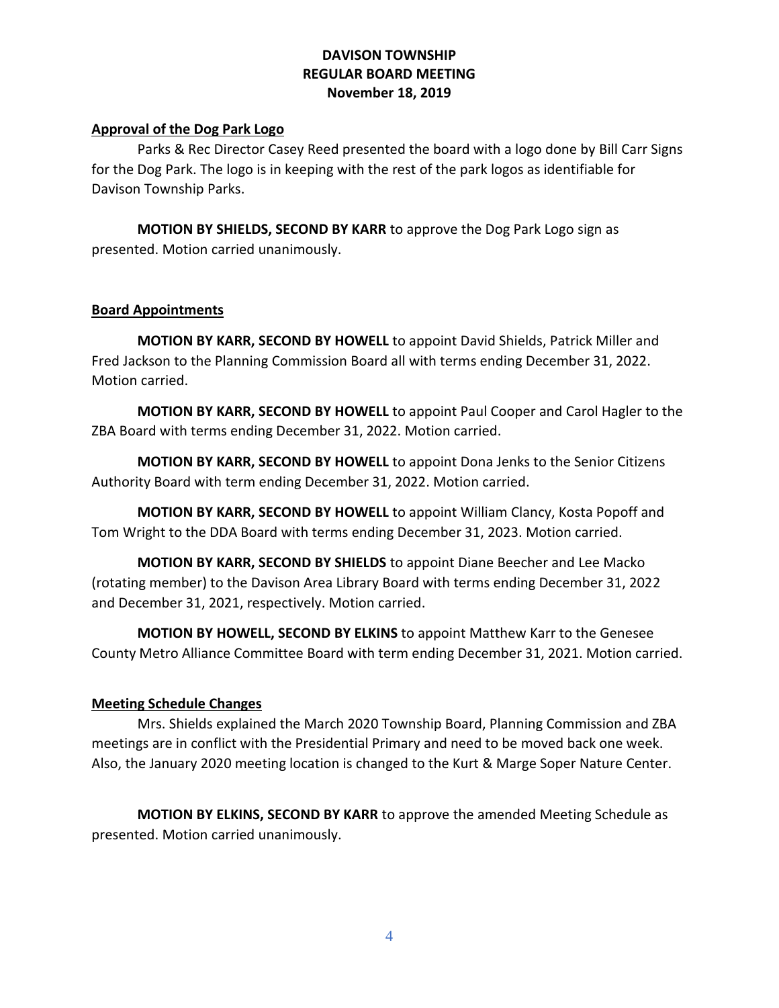## **Approval of the Dog Park Logo**

Parks & Rec Director Casey Reed presented the board with a logo done by Bill Carr Signs for the Dog Park. The logo is in keeping with the rest of the park logos as identifiable for Davison Township Parks.

**MOTION BY SHIELDS, SECOND BY KARR** to approve the Dog Park Logo sign as presented. Motion carried unanimously.

### **Board Appointments**

**MOTION BY KARR, SECOND BY HOWELL** to appoint David Shields, Patrick Miller and Fred Jackson to the Planning Commission Board all with terms ending December 31, 2022. Motion carried.

**MOTION BY KARR, SECOND BY HOWELL** to appoint Paul Cooper and Carol Hagler to the ZBA Board with terms ending December 31, 2022. Motion carried.

**MOTION BY KARR, SECOND BY HOWELL** to appoint Dona Jenks to the Senior Citizens Authority Board with term ending December 31, 2022. Motion carried.

**MOTION BY KARR, SECOND BY HOWELL** to appoint William Clancy, Kosta Popoff and Tom Wright to the DDA Board with terms ending December 31, 2023. Motion carried.

**MOTION BY KARR, SECOND BY SHIELDS** to appoint Diane Beecher and Lee Macko (rotating member) to the Davison Area Library Board with terms ending December 31, 2022 and December 31, 2021, respectively. Motion carried.

**MOTION BY HOWELL, SECOND BY ELKINS** to appoint Matthew Karr to the Genesee County Metro Alliance Committee Board with term ending December 31, 2021. Motion carried.

## **Meeting Schedule Changes**

Mrs. Shields explained the March 2020 Township Board, Planning Commission and ZBA meetings are in conflict with the Presidential Primary and need to be moved back one week. Also, the January 2020 meeting location is changed to the Kurt & Marge Soper Nature Center.

**MOTION BY ELKINS, SECOND BY KARR** to approve the amended Meeting Schedule as presented. Motion carried unanimously.